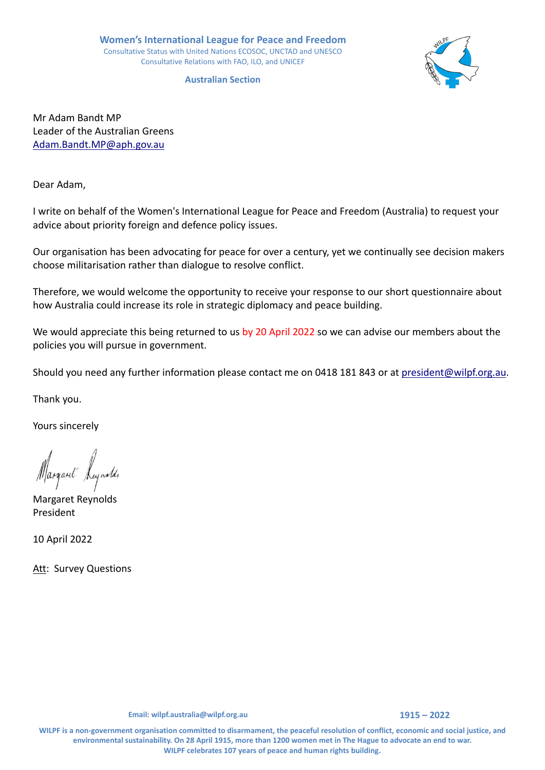**Australian Section**



Mr Adam Bandt MP Leader of the Australian Greens [Adam.Bandt.MP@aph.gov.au](mailto:Adam.Bandt.MP@aph.gov.au) 

Dear Adam,

I write on behalf of the Women's International League for Peace and Freedom (Australia) to request your advice about priority foreign and defence policy issues.

Our organisation has been advocating for peace for over a century, yet we continually see decision makers choose militarisation rather than dialogue to resolve conflict.

Therefore, we would welcome the opportunity to receive your response to our short questionnaire about how Australia could increase its role in strategic diplomacy and peace building.

We would appreciate this being returned to us by 20 April 2022 so we can advise our members about the policies you will pursue in government.

Should you need any further information please contact me on 0418 181 843 or at [president@wilpf.org.au.](mailto:president@wilpf.org.au)

Thank you.

Yours sincerely

Margaret Reynolds

Margaret Reynolds President

10 April 2022

Att: Survey Questions

**WILPF is a non-government organisation committed to disarmament, the peaceful resolution of conflict, economic and social justice, and environmental sustainability. On 28 April 1915, more than 1200 women met in The Hague to advocate an end to war. WILPF celebrates 107 years of peace and human rights building.**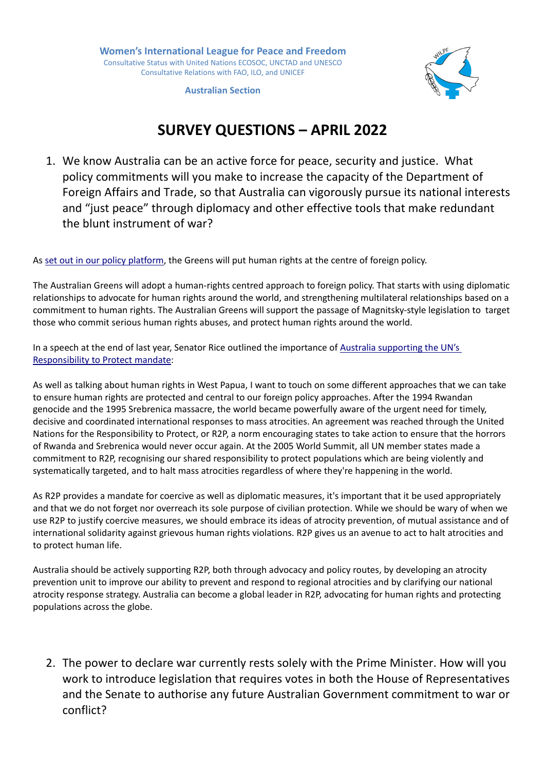

**Australian Section**

## **SURVEY QUESTIONS – APRIL 2022**

1. We know Australia can be an active force for peace, security and justice. What policy commitments will you make to increase the capacity of the Department of Foreign Affairs and Trade, so that Australia can vigorously pursue its national interests and "just peace" through diplomacy and other effective tools that make redundant the blunt instrument of war?

As [set out in our policy platform,](https://greens.org.au/sites/default/files/2022-02/Greens-2022-Policy-Platform--World--Peace.pdf.pdf) the Greens will put human rights at the centre of foreign policy.

The Australian Greens will adopt a human-rights centred approach to foreign policy. That starts with using diplomatic relationships to advocate for human rights around the world, and strengthening multilateral relationships based on a commitment to human rights. The Australian Greens will support the passage of Magnitsky-style legislation to target those who commit serious human rights abuses, and protect human rights around the world.

In a speech at the end of last year, Senator Rice outlined the importance of Australia supporting the UN's [Responsibility to Protect mandate:](https://parlinfo.aph.gov.au/parlInfo/search/display/display.w3p;query=Id%3A%22chamber%2Fhansards%2F25187%2F0249%22)

As well as talking about human rights in West Papua, I want to touch on some different approaches that we can take to ensure human rights are protected and central to our foreign policy approaches. After the 1994 Rwandan genocide and the 1995 Srebrenica massacre, the world became powerfully aware of the urgent need for timely, decisive and coordinated international responses to mass atrocities. An agreement was reached through the United Nations for the Responsibility to Protect, or R2P, a norm encouraging states to take action to ensure that the horrors of Rwanda and Srebrenica would never occur again. At the 2005 World Summit, all UN member states made a commitment to R2P, recognising our shared responsibility to protect populations which are being violently and systematically targeted, and to halt mass atrocities regardless of where they're happening in the world.

As R2P provides a mandate for coercive as well as diplomatic measures, it's important that it be used appropriately and that we do not forget nor overreach its sole purpose of civilian protection. While we should be wary of when we use R2P to justify coercive measures, we should embrace its ideas of atrocity prevention, of mutual assistance and of international solidarity against grievous human rights violations. R2P gives us an avenue to act to halt atrocities and to protect human life.

Australia should be actively supporting R2P, both through advocacy and policy routes, by developing an atrocity prevention unit to improve our ability to prevent and respond to regional atrocities and by clarifying our national atrocity response strategy. Australia can become a global leader in R2P, advocating for human rights and protecting populations across the globe.

2. The power to declare war currently rests solely with the Prime Minister. How will you work to introduce legislation that requires votes in both the House of Representatives and the Senate to authorise any future Australian Government commitment to war or conflict?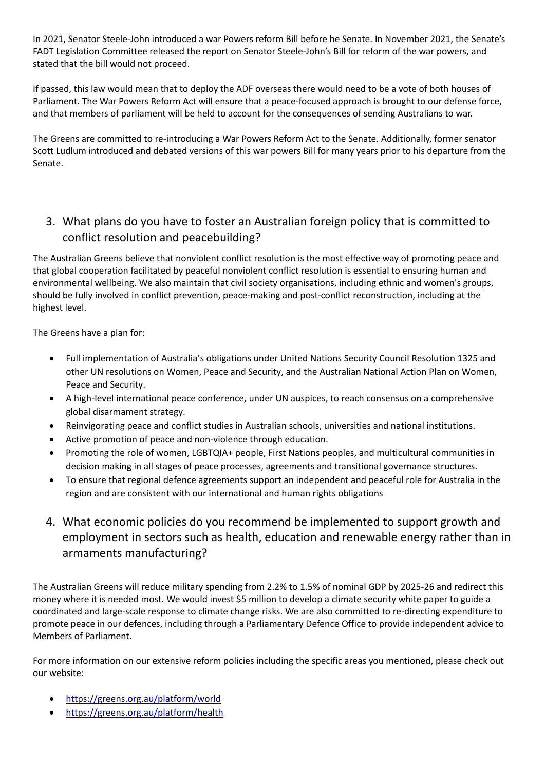In 2021, Senator Steele-John introduced a war Powers reform Bill before he Senate. In November 2021, the Senate's FADT Legislation Committee released the [report on Senator Steele-John's Bill for reform of the war powers,](https://www.aph.gov.au/Parliamentary_Business/Committees/Senate/Foreign_Affairs_Defence_and_Trade/OverseasServiceBill/Report) and stated that the bill would not proceed.

If passed, this law would mean that to deploy the ADF overseas there would need to be a vote of both houses of Parliament. The War Powers Reform Act will ensure that a peace-focused approach is brought to our defense force, and that members of parliament will be held to account for the consequences of sending Australians to war.

The Greens are committed to re-introducing a War Powers Reform Act to the Senate. Additionally, former senator Scott Ludlum introduced and debated versions of this war powers Bill for many years prior to his departure from the Senate.

## 3. What plans do you have to foster an Australian foreign policy that is committed to conflict resolution and peacebuilding?

The Australian Greens believe that nonviolent conflict resolution is the most effective way of promoting peace and that global cooperation facilitated by peaceful nonviolent conflict resolution is essential to ensuring human and environmental wellbeing. We also maintain that civil society organisations, including ethnic and women's groups, should be fully involved in conflict prevention, peace-making and post-conflict reconstruction, including at the highest level.

The Greens have a plan for:

- Full implementation of Australia's obligations under United Nations Security Council Resolution 1325 and other UN resolutions on Women, Peace and Security, and the Australian National Action Plan on Women, Peace and Security.
- A high-level international peace conference, under UN auspices, to reach consensus on a comprehensive global disarmament strategy.
- Reinvigorating peace and conflict studies in Australian schools, universities and national institutions.
- Active promotion of peace and non-violence through education.
- Promoting the role of women, LGBTQIA+ people, First Nations peoples, and multicultural communities in decision making in all stages of peace processes, agreements and transitional governance structures.
- To ensure that regional defence agreements support an independent and peaceful role for Australia in the region and are consistent with our international and human rights obligations
- 4. What economic policies do you recommend be implemented to support growth and employment in sectors such as health, education and renewable energy rather than in armaments manufacturing?

The Australian Greens will reduce military spending from 2.2% to 1.5% of nominal GDP by 2025-26 and redirect this money where it is needed most. We would invest \$5 million to develop a climate security white paper to guide a coordinated and large-scale response to climate change risks. We are also committed to re-directing expenditure to promote peace in our defences, including through a Parliamentary Defence Office to provide independent advice to Members of Parliament.

For more information on our extensive reform policies including the specific areas you mentioned, please check out our website:

- <https://greens.org.au/platform/world>
- <https://greens.org.au/platform/health>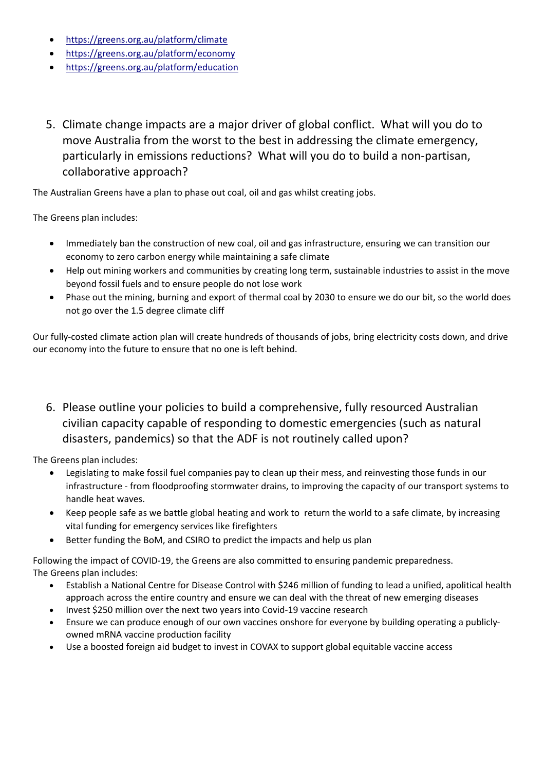- <https://greens.org.au/platform/climate>
- <https://greens.org.au/platform/economy>
- <https://greens.org.au/platform/education>
- 5. Climate change impacts are a major driver of global conflict. What will you do to move Australia from the worst to the best in addressing the climate emergency, particularly in emissions reductions? What will you do to build a non-partisan, collaborative approach?

The Australian Greens have a plan to phase out coal, oil and gas whilst creating jobs.

The Greens plan includes:

- Immediately ban the construction of new coal, oil and gas infrastructure, ensuring we can transition our economy to zero carbon energy while maintaining a safe climate
- Help out mining workers and communities by creating long term, sustainable industries to assist in the move beyond fossil fuels and to ensure people do not lose work
- Phase out the mining, burning and export of thermal coal by 2030 to ensure we do our bit, so the world does not go over the 1.5 degree climate cliff

Our fully-costed climate action plan will create hundreds of thousands of jobs, bring electricity costs down, and drive our economy into the future to ensure that no one is left behind.

6. Please outline your policies to build a comprehensive, fully resourced Australian civilian capacity capable of responding to domestic emergencies (such as natural disasters, pandemics) so that the ADF is not routinely called upon?

The Greens plan includes:

- Legislating to make fossil fuel companies pay to clean up their mess, and reinvesting those funds in our infrastructure - from floodproofing stormwater drains, to improving the capacity of our transport systems to handle heat waves.
- Keep people safe as we battle global heating and work to return the world to a safe climate, by increasing vital funding for emergency services like firefighters
- Better funding the BoM, and CSIRO to predict the impacts and help us plan

Following the impact of COVID-19, the Greens are also committed to ensuring pandemic preparedness. The Greens plan includes:

- Establish a National Centre for Disease Control with \$246 million of funding to lead a unified, apolitical health approach across the entire country and ensure we can deal with the threat of new emerging diseases
- Invest \$250 million over the next two years into Covid-19 vaccine research
- Ensure we can produce enough of our own vaccines onshore for everyone by building operating a publiclyowned mRNA vaccine production facility
- Use a boosted foreign aid budget to invest in COVAX to support global equitable vaccine access